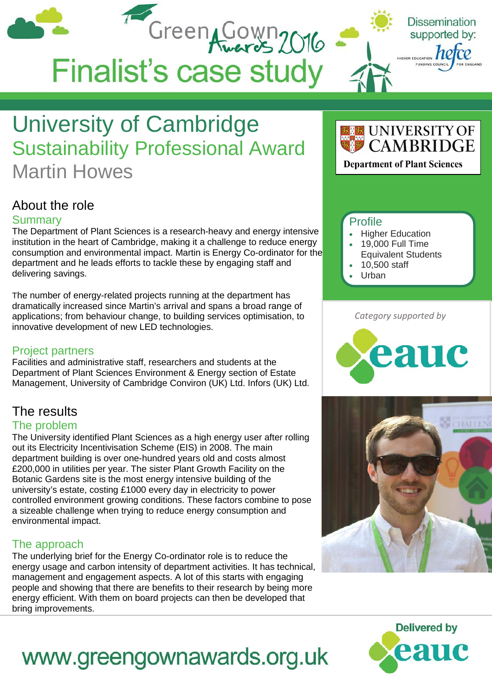

# University of Cambridge Sustainability Professional Award Martin Howes

# About the role

#### Summary

The Department of Plant Sciences is a research-heavy and energy intensive institution in the heart of Cambridge, making it a challenge to reduce energy consumption and environmental impact. Martin is Energy Co-ordinator for the department and he leads efforts to tackle these by engaging staff and delivering savings.

The number of energy-related projects running at the department has dramatically increased since Martin's arrival and spans a broad range of applications; from behaviour change, to building services optimisation, to innovative development of new LED technologies.

### Project partners

Facilities and administrative staff, researchers and students at the Department of Plant Sciences Environment & Energy section of Estate Management, University of Cambridge Conviron (UK) Ltd. Infors (UK) Ltd.

# The results

#### The problem

The University identified Plant Sciences as a high energy user after rolling out its Electricity Incentivisation Scheme (EIS) in 2008. The main department building is over one-hundred years old and costs almost £200,000 in utilities per year. The sister Plant Growth Facility on the Botanic Gardens site is the most energy intensive building of the university's estate, costing £1000 every day in electricity to power controlled environment growing conditions. These factors combine to pose a sizeable challenge when trying to reduce energy consumption and environmental impact.

### The approach

The underlying brief for the Energy Co-ordinator role is to reduce the energy usage and carbon intensity of department activities. It has technical, management and engagement aspects. A lot of this starts with engaging people and showing that there are benefits to their research by being more energy efficient. With them on board projects can then be developed that bring improvements.

# UNIVERSITY OF **CAMBRIDGE**

**Department of Plant Sciences** 

#### Profile

- Higher Education
- 19,000 Full Time
- Equivalent Students • 10,500 staff
- Urban







# www.greengownawards.org.uk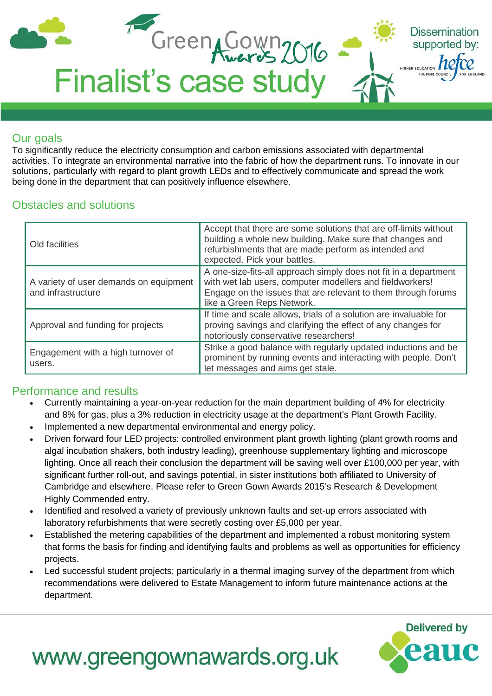Green Cown 2016 **Dissemination** supported by: **Finalist's case study HIGHER EDUCATION** 

### Our goals

To significantly reduce the electricity consumption and carbon emissions associated with departmental activities. To integrate an environmental narrative into the fabric of how the department runs. To innovate in our solutions, particularly with regard to plant growth LEDs and to effectively communicate and spread the work being done in the department that can positively influence elsewhere.

### Obstacles and solutions

| Old facilities                                               | Accept that there are some solutions that are off-limits without<br>building a whole new building. Make sure that changes and<br>refurbishments that are made perform as intended and<br>expected. Pick your battles.       |
|--------------------------------------------------------------|-----------------------------------------------------------------------------------------------------------------------------------------------------------------------------------------------------------------------------|
| A variety of user demands on equipment<br>and infrastructure | A one-size-fits-all approach simply does not fit in a department<br>with wet lab users, computer modellers and fieldworkers!<br>Engage on the issues that are relevant to them through forums<br>like a Green Reps Network. |
| Approval and funding for projects                            | If time and scale allows, trials of a solution are invaluable for<br>proving savings and clarifying the effect of any changes for<br>notoriously conservative researchers!                                                  |
| Engagement with a high turnover of<br>users.                 | Strike a good balance with regularly updated inductions and be<br>prominent by running events and interacting with people. Don't<br>let messages and aims get stale.                                                        |

## Performance and results

- Currently maintaining a year-on-year reduction for the main department building of 4% for electricity and 8% for gas, plus a 3% reduction in electricity usage at the department's Plant Growth Facility.
- Implemented a new departmental environmental and energy policy.
- Driven forward four LED projects: controlled environment plant growth lighting (plant growth rooms and algal incubation shakers, both industry leading), greenhouse supplementary lighting and microscope lighting. Once all reach their conclusion the department will be saving well over £100,000 per year, with significant further roll-out, and savings potential, in sister institutions both affiliated to University of Cambridge and elsewhere. Please refer to Green Gown Awards 2015's Research & Development Highly Commended entry.
- Identified and resolved a variety of previously unknown faults and set-up errors associated with laboratory refurbishments that were secretly costing over £5,000 per year.
- Established the metering capabilities of the department and implemented a robust monitoring system that forms the basis for finding and identifying faults and problems as well as opportunities for efficiency projects.
- Led successful student projects; particularly in a thermal imaging survey of the department from which recommendations were delivered to Estate Management to inform future maintenance actions at the department.



# www.greengownawards.org.uk